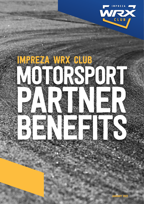

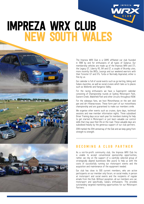# IMPREZA WRX CLUB NEW SOUTH WALES



The Impreza WRX Club is a CAMS affiliated car club founded in 1998 by and for enthusiasts of all types of Subarus. Our membership vehicles are made up of the Impreza WRX and STi, the Legacy GT, Liberty RS, B4 and GT, a couple of Brumby utes, more recently the BRZs, Levorgs and our weekend warriors with their Forester GT and XTs: Turbo or Normally Aspirated; either is fine by us.

Our calendar is full of social events such as go karting, biking and Subaru launches, as well as social cruises which take us to places such as Wollombi and Kangaroo Valley.

For the racing enthusiasts we have a Supersprint calendar consisting of Championship rounds at Sydney Motorsport Park, Eastern Creek, Wakefield Park and other circuits throughout NSW.

For the sideways fans, we host Motorkhanas on the wet skid pan and dirt Khanacrosses. These form part of our motorkhana championship and are guaranteed to make our members smile.

We organise other events such as cruises, dyno days, technical sessions and new member information nights. Three subsidised Driver Training days occur each year for members looking for help to get started in Motorsport or just learn valuable car control skills that may save their life on the road. These valuable days are subsidised heavily by the generous support of our club partners.

2018 marked the 20th anniversay of the Club and we keep going from strength to strength.

### BECOMING A CLUB PARTNER

As a not-for-profit community club, the Impreza WRX Club Inc is unable to accept conventional sponsorship opportunities, rather, we rely on the support of a carefully selected group of strategically aligned businesses (like yours) to help us with the costs of successfully running our motorsport events and the acquisition and maintenance of the equipment needed.

Our club has close to 500 current members, who are active participants on our member only forum, on social media, in person at motorsport and social events and the recipients of regular emails from the Club. Without exception, all our members are car, motorsport and specifically, Subaru enthusiasts. This provides outstanding targeted marketing opportunities for our Motorsport Partners.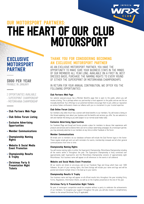

## THE HEART OF OUR CLUB **MOTORSPORT** OUR MOTORSPORT PARTNERS:

## EXCLUSIVE **MOTORSPORT** PARTNER

#### \$800 PER YEAR PAYABLE IN JANUARY

- 2 OPPORTUNITIES AVAILABLE
- SUPERSPRINT CHAMPIONSHIP

• MOTORKHANA CHAMPIONSHIP

- Club Partners Web Page
- Club Online Forum Listing
- Exclusive Advertising **Opportunities**
- Member Communications
- Championship Naming Rights
- Website & Social Media Event Promotion
- Championship Results & Trophy
- Christmas Party & Presentation Night **Tickets**

### THANK YOU FOR CONSIDERING BECOMING AN EXCLUSIVE MOTORSPORT PARTNER

AS AN EXCLUSIVE MOTORSPORT PARTNER, YOU HAVE THE OPPORTUNITY TO MAKE SURE YOUR BUSINESS STAYS IN THE MINDS OF OUR MEMBERS ALL YEAR LONG. AVAILABLE ON A FIRST IN, BEST DRESSED BASIS, PURCHASE THE NAMING RIGHTS TO EVERY ROUND OF EITHER THE SUPERSPRINT OR MOTORKHANA CHAMPIONSHIPS.

IN RETURN FOR YOUR ANNUAL CONTRIBUTION, WE OFFER YOU THE FOLLOWING OPPORTUNITIES:

#### Club Partners Web Page

Our website www.wrx.org.au has a Member Benefits page that is open to the public, where you will receive a listing. This is perhaps where our partnership is most apparent to the public and we see this as mutually beneficial. Your offerings to our potential members encourage them to join, while our reputation as serious Subaru enthusiasts means our alliance with you is a testament to your trusted expertise.

#### Club Online Forum Listing

Our members only online forum has a section with listed benefits to our members. You will receive a listing on this thread explaining more about your business and the benefits and services you offer. You are welcome to edit and maintain this listing as you wish (subject to our normal social media rules).

#### Exclusive Advertising Opportunities

Our Facebook (Page and Group) and forums provide a place for members to discuss their experiences with products and services and to endorse them, but not to conduct advertising campaigns. As a motorsport partner, you may exclusively advertise to our members at any time on either Facebook or the forum.

#### Member Communications

All emails sent to members via our database software will include the Club Partner logos in the footer. These regular emails get sent out with reminders for events, membership renewals and all other general communications from time to time.

#### Championship Naming Rights

You will receive naming rights to either the Supersprint Championship, Motorkhana Championship including all the events within it throughout the year. The Supersprint Championship is hotly contested over approximately eight Supersprints and the Motorkhana Championship consists of approximately eight Motorkhanas. Your business name will appear on all references to the events in all collateral.

#### Website and Social Media Event Promotion

All our events are listed on wrx.org.au and on our Facebook Page and Group which have over 7,600 followers. As part of your naming rights, the Event listings will include your name and logo and will be posted and shared multiple times in the lead up to your events.

#### Championship Results & Trophy

Your business name and logo will appear on all official results lists throughout the year including Entry Forms, Regulations, Information Sheets, as well as on the trophies presented at the end of the year.

#### Christmas Party & Presentation Night Tickets

No year of motorsport competition would be complete without a party to celebrate the achievements of our members. To recognise your support throughout the year, you will also receive 2 complimentary tickets to the annual Christmas Party (if applicable).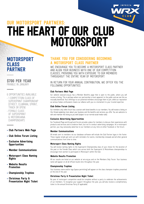

## THE HEART OF OUR CLUB **MOTORSPORT** OUR MOTORSPORT PARTNERS:

## **MOTORSPORT** CLASS PARTNER

#### \$700 PER YEAR PAYABLE IN JANUARY

6 OPPORTUNITIES AVAILABLE

- 1 COMPETITION CLASS OF SUPERSPRINT CHAMPIONSHIP (STREET, CLUBMAN, SPRINT, TRACK OR OPEN)
- FEMALE CLASS OF SUPERSPRINT & MOTORKHANA CHAMPIONSHIPS
- Club Partners Web Page
- Club Online Forum Listing
- Exclusive Advertising **Opportunities**
- Member Communications
- Motorsport Class Naming Rights
- Website Results Promotion
- Championship Trophies
- Christmas Party & Presentation Night Ticket

### THANK YOU FOR CONSIDERING BECOMING A MOTORSPORT CLASS PARTNER

WE ENCOURAGE YOU TO BECOME A MOTORSPORT CLASS PARTNER AND ALIGN YOUR BUSINESS WITH ONE OF OUR COMPETITION CLASSES, PROVIDING YOU WITH EXPOSURE TO OUR MEMBERS THROUGHOUT THE ENTIRE YEAR OF MOTORSPORT.

IN RETURN FOR YOUR ANNUAL CONTRIBUTION, WE OFFER YOU THE FOLLOWING OPPORTUNITIES:

#### Club Partners Web Page

Our website www.wrx.org.au has a Member Benefits page that is open to the public, where you will receive a listing. This is perhaps where our partnership is most apparent to the public and we see this as mutually beneficial. Your offerings to our potential members encourage them to join, while our reputation as serious Subaru enthusiasts means our alliance with you is a testament to your trusted expertise

#### Club Online Forum Listing

Our members only online forum has a section with listed benefits to our members. You will receive a listing on this thread explaining more about your business and the benefits and services you offer. You are welcome to edit and maintain this listing as you wish (subject to our normal social media rules).

#### Exclusive Advertising Opportunities

Our Facebook (Page and Group) and forums provide a place for members to discuss their experiences with products and services and to endorse them, but not to conduct advertising campaigns. As a motorsport partner, you may exclusively advertise to our members at any time on either Facebook or the forum.

#### Member Communications

All emails sent to members via our database software will include the Club Partner logos in the footer. These regular emails get sent out with reminders for events, membership renewals and all other general communications from time to time.

#### Motorsport Class Naming Rights

You will receive naming rights to the Supersprint Championship class of your choice for the duration of the year or the Female Class which runs across both the Supersprint & Motorkhana championships to encourage more women to participate in Motorsport within the Club.

#### Website Results Promotion

All our results are listed on our website at wrx.org.au and on the Members Only Forum. Your business name will appear on all all official results lists throughout the year.

#### Championship Trophies

Your business name and/or logo (space permitting) will appear on the class champion trophies presented at the end of the year.

#### Christmas Party & Presentation Night Ticket

No year of motorsport competition would be complete without a party to celebrate the achievements of our members. To recognise your support throughout the year, you will also receive a complimentary ticket to the annual Christmas Party (if applicable).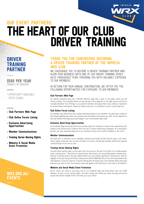

## THE HEART OF OUR CLUB DRIVER TRAINING OUR EVENT PARTNERS:

## DRIVER TRAINING PARTNER

\$550 PER YEAR PAYABLE IN JANUARY

1 OPPORTUNITY AVAILABLE • SPEED SCHOOL

- Club Partners Web Page
- Club Online Forum Listing
- Exclusive Advertising **Opportunities**
- Member Communications
- Training Series Naming Rights
- Website & Social Media Event Promotion

## WRX.ORG.AU/ EVENTS

### THANK YOU FOR CONSIDERING BECOMING A DRIVER TRAINING PARTNER OF THE IMPREZA WR**X** CLUB

WE ENCOURAGE YOU TO BECOME A DRIVER TRAINING PARTNER AND ALIGN YOUR BUSINESS WITH ONE OF OUR DRIVER TRAINING SERIES HELD THROUGHOUT YEAR, PROVIDING YOU WITH VALUABLE EXPOSURE TO OUR MEMBERS.

IN RETURN FOR YOUR ANNUAL CONTRIBUTION, WE OFFER YOU THE FOLLOWING OPPORTUNITIES FOR EXPOSURE TO OUR MEMBERS:

#### Club Partners Web Page

Our website www.wrx.org.au has a Member Benefits page that is open to the public, where you will receive a listing. This is perhaps where our partnership is most apparent to the public and we see this as mutually beneficial. Your offerings to our potential members encourage them to join, while our reputation as serious Subaru enthusiasts means our alliance with you is a testament to your trusted expertise.

#### Club Online Forum Listing

Our members only online forum has a section with listed benefits to our members. You will receive a listing on this thread explaining more about your business and the benefits and services you offer. You are welcome to edit and maintain this listing as you wish (subject to our normal social media rules).

#### Exclusive Advertising Opportunities

Our Facebook (Page and Group) and forums provide a place for members to discuss their experiences with products and services and to endorse them, but not to conduct advertising campaigns. As a motorsport partner, you may exclusively advertise to our members at any time on either Facebook or the forum.

#### Member Communications

All emails sent to members via our database software will include the Club Partner logos in the footer. These regular emails get sent out with reminders for events, membership renewals and all other general communications from time to time.

#### Training Series Naming Rights

You will receive naming rights to two events over the course of the year from either of our highly popular driver training series' - Skid School or Speed School. Skid School is our annual Motorkhana training event, held over 2 sessions early in the year. Speed School is our ever popular SuperSprint training event, with the highlight of the year being the full day training event held at Wakefield Park on the June long weekend. We will endeavour to secure a date for a second training date during the year if the calendar allows and would welcome your input on this. Your business name will appear on all references to the event in all collateral.

#### Website and Social Media Event Promotion

All our events are listed on wrx.org.au and on our Facebook Page and Group which have over 7,600 followers. As part of your naming rights, the Event listings will include your name and logo and will be posted and shared multiple times in the lead up to your events.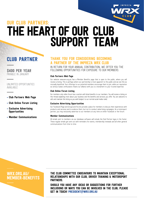

## THE HEART OF OUR CLUB SUPPORT TEAM OUR CLUB PARTNERS:

## CLUB PARTNER

\$400 PER YEAR PAYABLE IN JANUARY

UNLIMITED OPPORTUNITIES AVAILABLE

- Club Partners Web Page
- Club Online Forum Listing
- Exclusive Advertising **Opportunities**
- Member Communications

## THANK YOU FOR CONSIDERING BECOMING A PARTNER OF THE IMPREZA WRX CLUB

IN RETURN FOR YOUR ANNUAL CONTRIBUTION, WE OFFER YOU THE FOLLOWING OPPORTUNITIES FOR EXPOSURE TO OUR MEMBERS:

#### Club Partners Web Page

Our website www.wrx.org.au has a Member Benefits page that is open to the public, where you will receive a listing. This is perhaps where our partnership is most apparent to the public and we see this as mutually beneficial. Your offerings to our potential members encourage them to join, while our reputation as serious Subaru enthusiasts means our alliance with you is a testament to your trusted expertise.

#### Club Online Forum Listing

Our members only online forum has a section with listed benefits to our members. You will receive a listing on this thread explaining more about your business and the benefits and services you offer. You are welcome to edit and maintain this listing as you wish (subject to our normal social media rules).

#### Exclusive Advertising Opportunities

Our Facebook (Page and Group) and forums provide a place for members to discuss their experiences with products and services and to endorse them, but not to conduct advertising campaigns. As a motorsport partner, you may exclusively advertise to our members at any time on either Facebook or the forum.

#### Member Communications

All emails sent to members via our database software will include the Club Partner logos in the footer. These regular emails get sent out with reminders for events, membership renewals and all other general communications from time to time.



THE CLUB COMMITTEE ENDEAVOURS TO MAINTAIN EXCEPTIONAL RELATIONSHIPS WITH OUR CLUB, DRIVER TRAINING & MOTORSPORT PARTNERS.

SHOULD YOU HAVE ANY IDEAS OR SUGGESTIONS FOR FURTHER INCLUSIONS OR WAYS YOU CAN BE INVOLVED IN THE CLUB, PLEASE GET IN TOUCH! PRESIDENT@WRX.ORG.AU